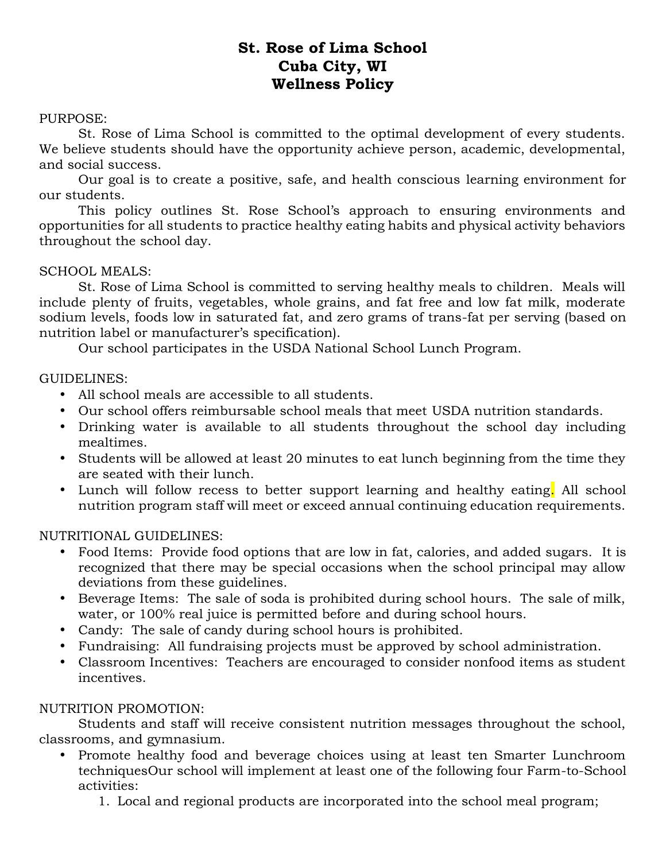# **St. Rose of Lima School Cuba City, WI Wellness Policy**

#### PURPOSE:

St. Rose of Lima School is committed to the optimal development of every students. We believe students should have the opportunity achieve person, academic, developmental, and social success.

Our goal is to create a positive, safe, and health conscious learning environment for our students.

This policy outlines St. Rose School's approach to ensuring environments and opportunities for all students to practice healthy eating habits and physical activity behaviors throughout the school day.

### SCHOOL MEALS:

St. Rose of Lima School is committed to serving healthy meals to children. Meals will include plenty of fruits, vegetables, whole grains, and fat free and low fat milk, moderate sodium levels, foods low in saturated fat, and zero grams of trans-fat per serving (based on nutrition label or manufacturer's specification).

Our school participates in the USDA National School Lunch Program.

### GUIDELINES:

- All school meals are accessible to all students.
- Our school offers reimbursable school meals that meet USDA nutrition standards.
- Drinking water is available to all students throughout the school day including mealtimes.
- Students will be allowed at least 20 minutes to eat lunch beginning from the time they are seated with their lunch.
- Lunch will follow recess to better support learning and healthy eating. All school nutrition program staff will meet or exceed annual continuing education requirements.

### NUTRITIONAL GUIDELINES:

- Food Items: Provide food options that are low in fat, calories, and added sugars. It is recognized that there may be special occasions when the school principal may allow deviations from these guidelines.
- Beverage Items: The sale of soda is prohibited during school hours. The sale of milk, water, or 100% real juice is permitted before and during school hours.
- Candy: The sale of candy during school hours is prohibited.
- Fundraising: All fundraising projects must be approved by school administration.
- Classroom Incentives: Teachers are encouraged to consider nonfood items as student incentives.

### NUTRITION PROMOTION:

Students and staff will receive consistent nutrition messages throughout the school, classrooms, and gymnasium.

- Promote healthy food and beverage choices using at least ten Smarter Lunchroom techniquesOur school will implement at least one of the following four Farm-to-School activities:
	- 1. Local and regional products are incorporated into the school meal program;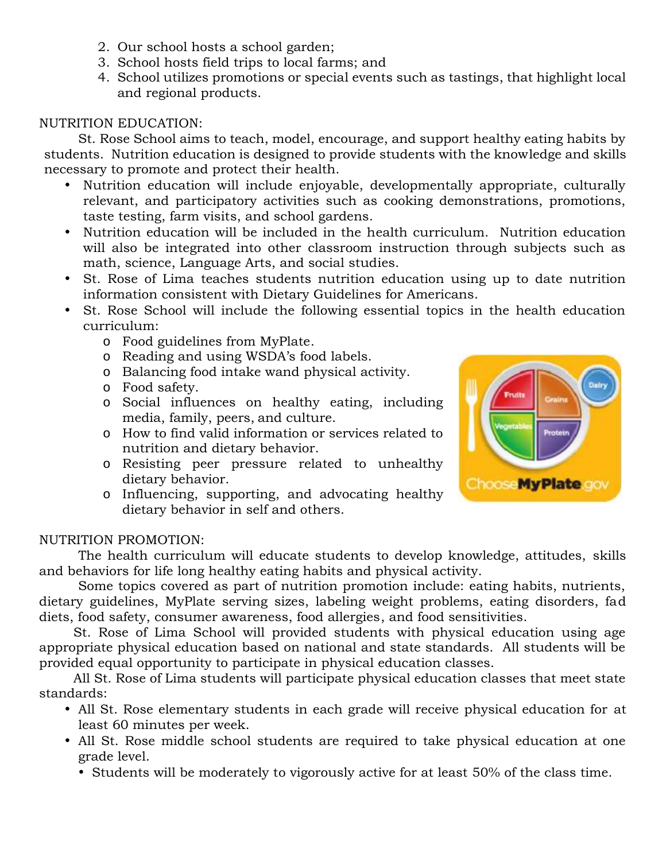- 2. Our school hosts a school garden;
- 3. School hosts field trips to local farms; and
- 4. School utilizes promotions or special events such as tastings, that highlight local and regional products.

# NUTRITION EDUCATION:

St. Rose School aims to teach, model, encourage, and support healthy eating habits by students. Nutrition education is designed to provide students with the knowledge and skills necessary to promote and protect their health.

- Nutrition education will include enjoyable, developmentally appropriate, culturally relevant, and participatory activities such as cooking demonstrations, promotions, taste testing, farm visits, and school gardens.
- Nutrition education will be included in the health curriculum. Nutrition education will also be integrated into other classroom instruction through subjects such as math, science, Language Arts, and social studies.
- St. Rose of Lima teaches students nutrition education using up to date nutrition information consistent with Dietary Guidelines for Americans.
- St. Rose School will include the following essential topics in the health education curriculum:
	- o Food guidelines from MyPlate.
	- o Reading and using WSDA's food labels.
	- o Balancing food intake wand physical activity.
	- o Food safety.
	- o Social influences on healthy eating, including media, family, peers, and culture.
	- o How to find valid information or services related to nutrition and dietary behavior.
	- o Resisting peer pressure related to unhealthy dietary behavior.
	- dietary behavior.<br>
	o Influencing, supporting, and advocating healthy dietary behavior in self and others.



### NUTRITION PROMOTION:

The health curriculum will educate students to develop knowledge, attitudes, skills and behaviors for life long healthy eating habits and physical activity.

Some topics covered as part of nutrition promotion include: eating habits, nutrients, dietary guidelines, MyPlate serving sizes, labeling weight problems, eating disorders, fad diets, food safety, consumer awareness, food allergies, and food sensitivities.

St. Rose of Lima School will provided students with physical education using age appropriate physical education based on national and state standards. All students will be provided equal opportunity to participate in physical education classes.

All St. Rose of Lima students will participate physical education classes that meet state standards:

- All St. Rose elementary students in each grade will receive physical education for at least 60 minutes per week.
- All St. Rose middle school students are required to take physical education at one grade level.
	- Students will be moderately to vigorously active for at least 50% of the class time.